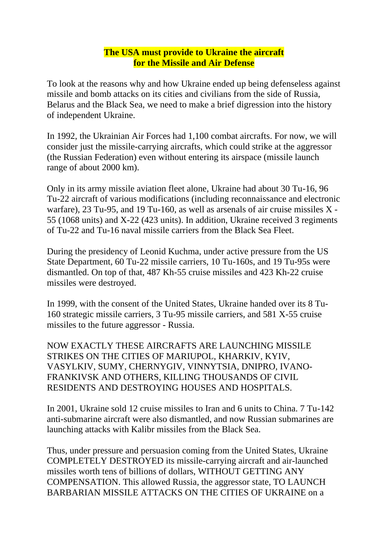## **The USA must provide to Ukraine the aircraft for the Missile and Air Defense**

To look at the reasons why and how Ukraine ended up being defenseless against missile and bomb attacks on its cities and civilians from the side of Russia, Belarus and the Black Sea, we need to make a brief digression into the history of independent Ukraine.

In 1992, the Ukrainian Air Forces had 1,100 combat aircrafts. For now, we will consider just the missile-carrying aircrafts, which could strike at the aggressor (the Russian Federation) even without entering its airspace (missile launch range of about 2000 km).

Only in its army missile aviation fleet alone, Ukraine had about 30 Tu-16, 96 Tu-22 aircraft of various modifications (including reconnaissance and electronic warfare), 23 Tu-95, and 19 Tu-160, as well as arsenals of air cruise missiles X - 55 (1068 units) and X-22 (423 units). In addition, Ukraine received 3 regiments of Tu-22 and Tu-16 naval missile carriers from the Black Sea Fleet.

During the presidency of Leonid Kuchma, under active pressure from the US State Department, 60 Tu-22 missile carriers, 10 Tu-160s, and 19 Tu-95s were dismantled. On top of that, 487 Kh-55 cruise missiles and 423 Kh-22 cruise missiles were destroyed.

In 1999, with the consent of the United States, Ukraine handed over its 8 Tu-160 strategic missile carriers, 3 Tu-95 missile carriers, and 581 X-55 cruise missiles to the future aggressor - Russia.

NOW EXACTLY THESE AIRCRAFTS ARE LAUNCHING MISSILE STRIKES ON THE CITIES OF MARIUPOL, KHARKIV, KYIV, VASYLKIV, SUMY, CHERNYGIV, VINNYTSIA, DNIPRO, IVANO-FRANKIVSK AND OTHERS, KILLING THOUSANDS OF CIVIL RESIDENTS AND DESTROYING HOUSES AND HOSPITALS.

In 2001, Ukraine sold 12 cruise missiles to Iran and 6 units to China. 7 Tu-142 anti-submarine aircraft were also dismantled, and now Russian submarines are launching attacks with Kalibr missiles from the Black Sea.

Thus, under pressure and persuasion coming from the United States, Ukraine COMPLETELY DESTROYED its missile-carrying aircraft and air-launched missiles worth tens of billions of dollars, WITHOUT GETTING ANY COMPENSATION. This allowed Russia, the aggressor state, TO LAUNCH BARBARIAN MISSILE ATTACKS ON THE CITIES OF UKRAINE on a